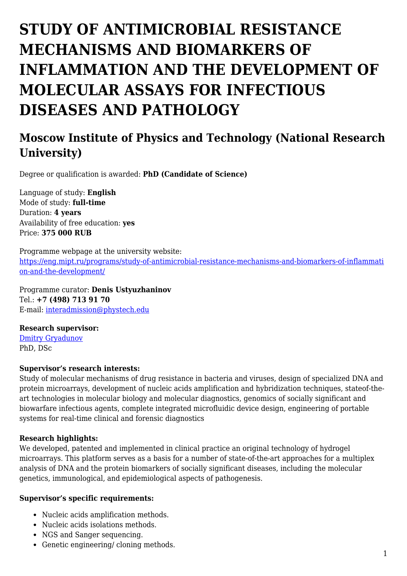# **STUDY OF ANTIMICROBIAL RESISTANCE MECHANISMS AND BIOMARKERS OF INFLAMMATION AND THE DEVELOPMENT OF MOLECULAR ASSAYS FOR INFECTIOUS DISEASES AND PATHOLOGY**

## **Moscow Institute of Physics and Technology (National Research University)**

Degree or qualification is awarded: **PhD (Candidate of Science)**

Language of study: **English** Mode of study: **full-time** Duration: **4 years** Availability of free education: **yes** Price: **375 000 RUB**

Programme webpage at the university website: [https://eng.mipt.ru/programs/study-of-antimicrobial-resistance-mechanisms-and-biomarkers-of-inflammati](https://eng.mipt.ru/programs/study-of-antimicrobial-resistance-mechanisms-and-biomarkers-of-inflammation-and-the-development/) [on-and-the-development/](https://eng.mipt.ru/programs/study-of-antimicrobial-resistance-mechanisms-and-biomarkers-of-inflammation-and-the-development/)

Programme curator: **Denis Ustyuzhaninov** Tel.: **+7 (498) 713 91 70** E-mail: [interadmission@phystech.edu](mailto:interadmission@phystech.edu)

**Research supervisor:** 

[Dmitry Gryadunov](https://www.researchgate.net/profile/Dmitry_Gryadunov) PhD, DSc

#### **Supervisor's research interests:**

Study of molecular mechanisms of drug resistance in bacteria and viruses, design of specialized DNA and protein microarrays, development of nucleic acids amplification and hybridization techniques, stateof-theart technologies in molecular biology and molecular diagnostics, genomics of socially significant and biowarfare infectious agents, complete integrated microfluidic device design, engineering of portable systems for real-time clinical and forensic diagnostics

#### **Research highlights:**

We developed, patented and implemented in clinical practice an original technology of hydrogel microarrays. This platform serves as a basis for a number of state-of-the-art approaches for a multiplex analysis of DNA and the protein biomarkers of socially significant diseases, including the molecular genetics, immunological, and epidemiological aspects of pathogenesis.

#### **Supervisor's specific requirements:**

- Nucleic acids amplification methods.
- Nucleic acids isolations methods.
- NGS and Sanger sequencing.
- Genetic engineering/ cloning methods.